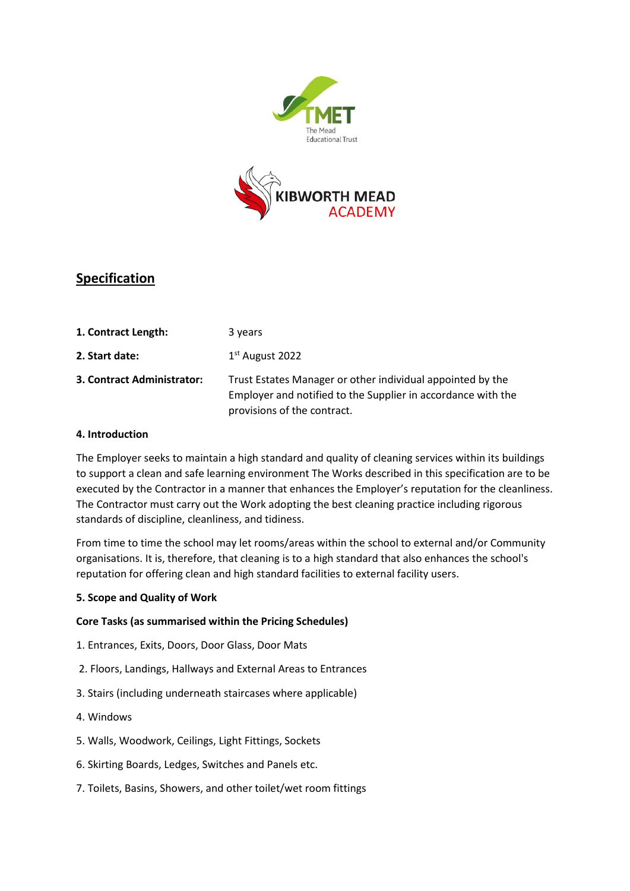



# **Specification**

| 1. Contract Length:        | 3 years                                                                                                                                                   |
|----------------------------|-----------------------------------------------------------------------------------------------------------------------------------------------------------|
| 2. Start date:             | $1st$ August 2022                                                                                                                                         |
| 3. Contract Administrator: | Trust Estates Manager or other individual appointed by the<br>Employer and notified to the Supplier in accordance with the<br>provisions of the contract. |

## **4. Introduction**

The Employer seeks to maintain a high standard and quality of cleaning services within its buildings to support a clean and safe learning environment The Works described in this specification are to be executed by the Contractor in a manner that enhances the Employer's reputation for the cleanliness. The Contractor must carry out the Work adopting the best cleaning practice including rigorous standards of discipline, cleanliness, and tidiness.

From time to time the school may let rooms/areas within the school to external and/or Community organisations. It is, therefore, that cleaning is to a high standard that also enhances the school's reputation for offering clean and high standard facilities to external facility users.

## **5. Scope and Quality of Work**

## **Core Tasks (as summarised within the Pricing Schedules)**

- 1. Entrances, Exits, Doors, Door Glass, Door Mats
- 2. Floors, Landings, Hallways and External Areas to Entrances
- 3. Stairs (including underneath staircases where applicable)
- 4. Windows
- 5. Walls, Woodwork, Ceilings, Light Fittings, Sockets
- 6. Skirting Boards, Ledges, Switches and Panels etc.
- 7. Toilets, Basins, Showers, and other toilet/wet room fittings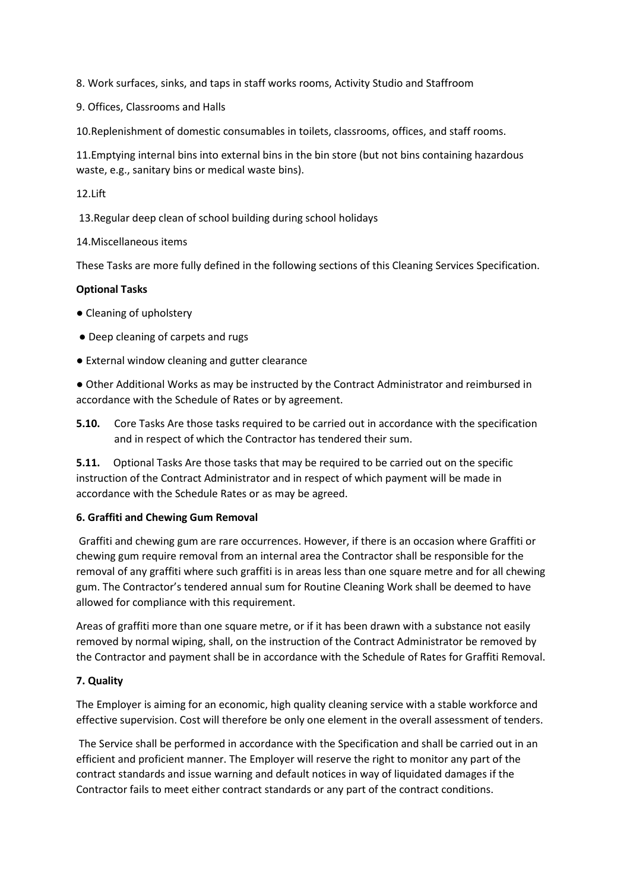8. Work surfaces, sinks, and taps in staff works rooms, Activity Studio and Staffroom

9. Offices, Classrooms and Halls

10.Replenishment of domestic consumables in toilets, classrooms, offices, and staff rooms.

11.Emptying internal bins into external bins in the bin store (but not bins containing hazardous waste, e.g., sanitary bins or medical waste bins).

12.Lift

13.Regular deep clean of school building during school holidays

14.Miscellaneous items

These Tasks are more fully defined in the following sections of this Cleaning Services Specification.

#### **Optional Tasks**

- Cleaning of upholstery
- Deep cleaning of carpets and rugs
- External window cleaning and gutter clearance

● Other Additional Works as may be instructed by the Contract Administrator and reimbursed in accordance with the Schedule of Rates or by agreement.

**5.10.** Core Tasks Are those tasks required to be carried out in accordance with the specification and in respect of which the Contractor has tendered their sum.

**5.11.** Optional Tasks Are those tasks that may be required to be carried out on the specific instruction of the Contract Administrator and in respect of which payment will be made in accordance with the Schedule Rates or as may be agreed.

#### **6. Graffiti and Chewing Gum Removal**

Graffiti and chewing gum are rare occurrences. However, if there is an occasion where Graffiti or chewing gum require removal from an internal area the Contractor shall be responsible for the removal of any graffiti where such graffiti is in areas less than one square metre and for all chewing gum. The Contractor's tendered annual sum for Routine Cleaning Work shall be deemed to have allowed for compliance with this requirement.

Areas of graffiti more than one square metre, or if it has been drawn with a substance not easily removed by normal wiping, shall, on the instruction of the Contract Administrator be removed by the Contractor and payment shall be in accordance with the Schedule of Rates for Graffiti Removal.

## **7. Quality**

The Employer is aiming for an economic, high quality cleaning service with a stable workforce and effective supervision. Cost will therefore be only one element in the overall assessment of tenders.

The Service shall be performed in accordance with the Specification and shall be carried out in an efficient and proficient manner. The Employer will reserve the right to monitor any part of the contract standards and issue warning and default notices in way of liquidated damages if the Contractor fails to meet either contract standards or any part of the contract conditions.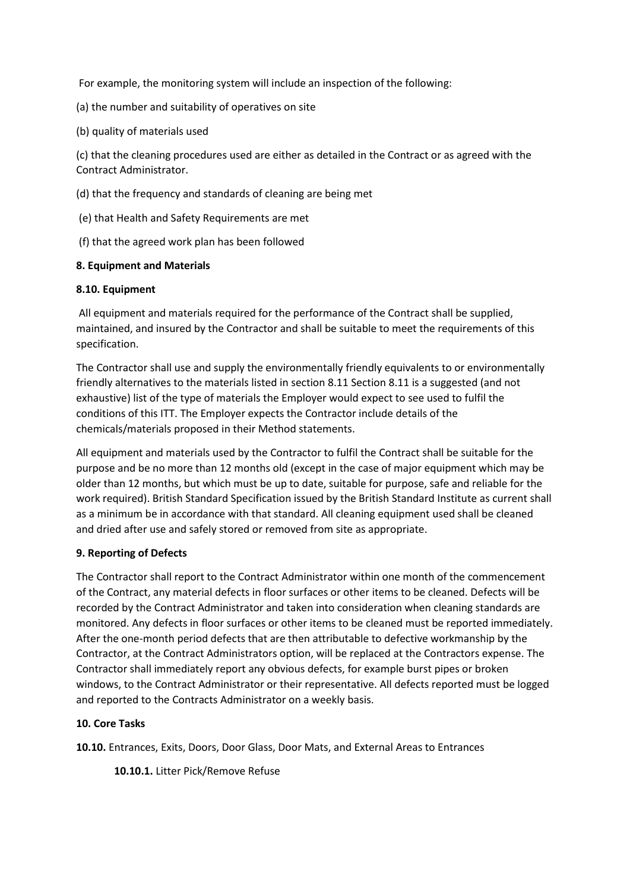For example, the monitoring system will include an inspection of the following:

(a) the number and suitability of operatives on site

(b) quality of materials used

(c) that the cleaning procedures used are either as detailed in the Contract or as agreed with the Contract Administrator.

(d) that the frequency and standards of cleaning are being met

(e) that Health and Safety Requirements are met

(f) that the agreed work plan has been followed

#### **8. Equipment and Materials**

#### **8.10. Equipment**

All equipment and materials required for the performance of the Contract shall be supplied, maintained, and insured by the Contractor and shall be suitable to meet the requirements of this specification.

The Contractor shall use and supply the environmentally friendly equivalents to or environmentally friendly alternatives to the materials listed in section 8.11 Section 8.11 is a suggested (and not exhaustive) list of the type of materials the Employer would expect to see used to fulfil the conditions of this ITT. The Employer expects the Contractor include details of the chemicals/materials proposed in their Method statements.

All equipment and materials used by the Contractor to fulfil the Contract shall be suitable for the purpose and be no more than 12 months old (except in the case of major equipment which may be older than 12 months, but which must be up to date, suitable for purpose, safe and reliable for the work required). British Standard Specification issued by the British Standard Institute as current shall as a minimum be in accordance with that standard. All cleaning equipment used shall be cleaned and dried after use and safely stored or removed from site as appropriate.

## **9. Reporting of Defects**

The Contractor shall report to the Contract Administrator within one month of the commencement of the Contract, any material defects in floor surfaces or other items to be cleaned. Defects will be recorded by the Contract Administrator and taken into consideration when cleaning standards are monitored. Any defects in floor surfaces or other items to be cleaned must be reported immediately. After the one-month period defects that are then attributable to defective workmanship by the Contractor, at the Contract Administrators option, will be replaced at the Contractors expense. The Contractor shall immediately report any obvious defects, for example burst pipes or broken windows, to the Contract Administrator or their representative. All defects reported must be logged and reported to the Contracts Administrator on a weekly basis.

## **10. Core Tasks**

**10.10.** Entrances, Exits, Doors, Door Glass, Door Mats, and External Areas to Entrances

**10.10.1.** Litter Pick/Remove Refuse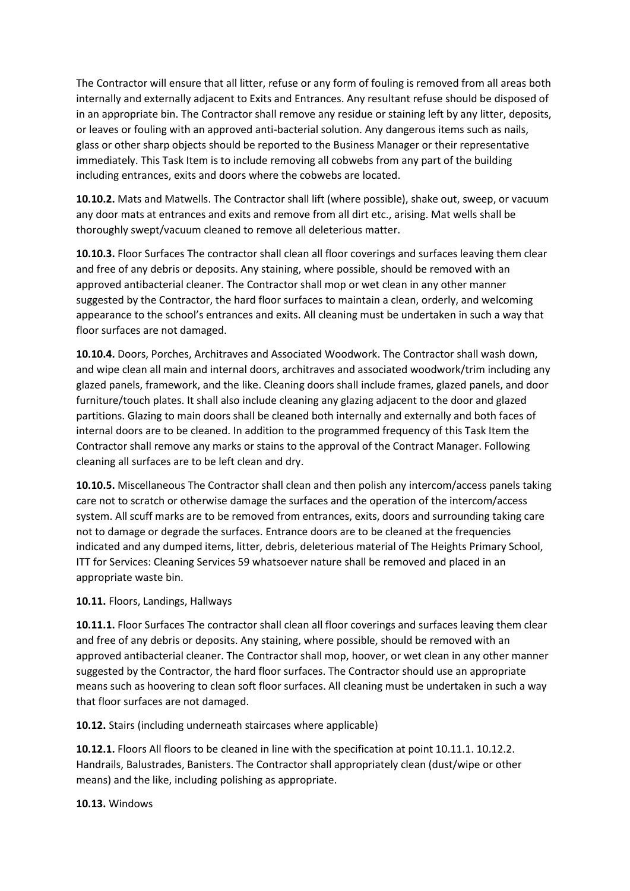The Contractor will ensure that all litter, refuse or any form of fouling is removed from all areas both internally and externally adjacent to Exits and Entrances. Any resultant refuse should be disposed of in an appropriate bin. The Contractor shall remove any residue or staining left by any litter, deposits, or leaves or fouling with an approved anti-bacterial solution. Any dangerous items such as nails, glass or other sharp objects should be reported to the Business Manager or their representative immediately. This Task Item is to include removing all cobwebs from any part of the building including entrances, exits and doors where the cobwebs are located.

**10.10.2.** Mats and Matwells. The Contractor shall lift (where possible), shake out, sweep, or vacuum any door mats at entrances and exits and remove from all dirt etc., arising. Mat wells shall be thoroughly swept/vacuum cleaned to remove all deleterious matter.

**10.10.3.** Floor Surfaces The contractor shall clean all floor coverings and surfaces leaving them clear and free of any debris or deposits. Any staining, where possible, should be removed with an approved antibacterial cleaner. The Contractor shall mop or wet clean in any other manner suggested by the Contractor, the hard floor surfaces to maintain a clean, orderly, and welcoming appearance to the school's entrances and exits. All cleaning must be undertaken in such a way that floor surfaces are not damaged.

**10.10.4.** Doors, Porches, Architraves and Associated Woodwork. The Contractor shall wash down, and wipe clean all main and internal doors, architraves and associated woodwork/trim including any glazed panels, framework, and the like. Cleaning doors shall include frames, glazed panels, and door furniture/touch plates. It shall also include cleaning any glazing adjacent to the door and glazed partitions. Glazing to main doors shall be cleaned both internally and externally and both faces of internal doors are to be cleaned. In addition to the programmed frequency of this Task Item the Contractor shall remove any marks or stains to the approval of the Contract Manager. Following cleaning all surfaces are to be left clean and dry.

**10.10.5.** Miscellaneous The Contractor shall clean and then polish any intercom/access panels taking care not to scratch or otherwise damage the surfaces and the operation of the intercom/access system. All scuff marks are to be removed from entrances, exits, doors and surrounding taking care not to damage or degrade the surfaces. Entrance doors are to be cleaned at the frequencies indicated and any dumped items, litter, debris, deleterious material of The Heights Primary School, ITT for Services: Cleaning Services 59 whatsoever nature shall be removed and placed in an appropriate waste bin.

#### **10.11.** Floors, Landings, Hallways

**10.11.1.** Floor Surfaces The contractor shall clean all floor coverings and surfaces leaving them clear and free of any debris or deposits. Any staining, where possible, should be removed with an approved antibacterial cleaner. The Contractor shall mop, hoover, or wet clean in any other manner suggested by the Contractor, the hard floor surfaces. The Contractor should use an appropriate means such as hoovering to clean soft floor surfaces. All cleaning must be undertaken in such a way that floor surfaces are not damaged.

**10.12.** Stairs (including underneath staircases where applicable)

**10.12.1.** Floors All floors to be cleaned in line with the specification at point 10.11.1. 10.12.2. Handrails, Balustrades, Banisters. The Contractor shall appropriately clean (dust/wipe or other means) and the like, including polishing as appropriate.

**10.13.** Windows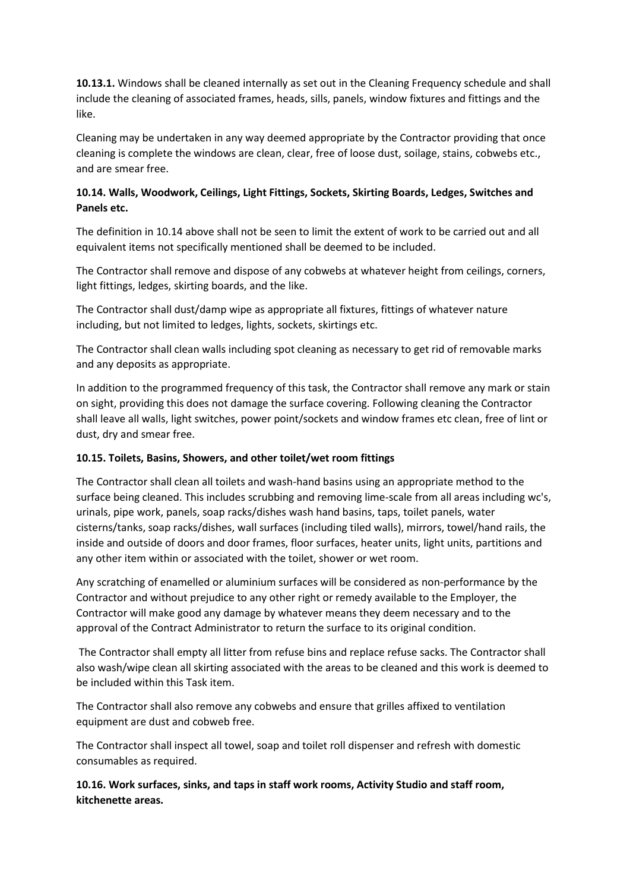**10.13.1.** Windows shall be cleaned internally as set out in the Cleaning Frequency schedule and shall include the cleaning of associated frames, heads, sills, panels, window fixtures and fittings and the like.

Cleaning may be undertaken in any way deemed appropriate by the Contractor providing that once cleaning is complete the windows are clean, clear, free of loose dust, soilage, stains, cobwebs etc., and are smear free.

# **10.14. Walls, Woodwork, Ceilings, Light Fittings, Sockets, Skirting Boards, Ledges, Switches and Panels etc.**

The definition in 10.14 above shall not be seen to limit the extent of work to be carried out and all equivalent items not specifically mentioned shall be deemed to be included.

The Contractor shall remove and dispose of any cobwebs at whatever height from ceilings, corners, light fittings, ledges, skirting boards, and the like.

The Contractor shall dust/damp wipe as appropriate all fixtures, fittings of whatever nature including, but not limited to ledges, lights, sockets, skirtings etc.

The Contractor shall clean walls including spot cleaning as necessary to get rid of removable marks and any deposits as appropriate.

In addition to the programmed frequency of this task, the Contractor shall remove any mark or stain on sight, providing this does not damage the surface covering. Following cleaning the Contractor shall leave all walls, light switches, power point/sockets and window frames etc clean, free of lint or dust, dry and smear free.

## **10.15. Toilets, Basins, Showers, and other toilet/wet room fittings**

The Contractor shall clean all toilets and wash-hand basins using an appropriate method to the surface being cleaned. This includes scrubbing and removing lime-scale from all areas including wc's, urinals, pipe work, panels, soap racks/dishes wash hand basins, taps, toilet panels, water cisterns/tanks, soap racks/dishes, wall surfaces (including tiled walls), mirrors, towel/hand rails, the inside and outside of doors and door frames, floor surfaces, heater units, light units, partitions and any other item within or associated with the toilet, shower or wet room.

Any scratching of enamelled or aluminium surfaces will be considered as non-performance by the Contractor and without prejudice to any other right or remedy available to the Employer, the Contractor will make good any damage by whatever means they deem necessary and to the approval of the Contract Administrator to return the surface to its original condition.

The Contractor shall empty all litter from refuse bins and replace refuse sacks. The Contractor shall also wash/wipe clean all skirting associated with the areas to be cleaned and this work is deemed to be included within this Task item.

The Contractor shall also remove any cobwebs and ensure that grilles affixed to ventilation equipment are dust and cobweb free.

The Contractor shall inspect all towel, soap and toilet roll dispenser and refresh with domestic consumables as required.

**10.16. Work surfaces, sinks, and taps in staff work rooms, Activity Studio and staff room, kitchenette areas.**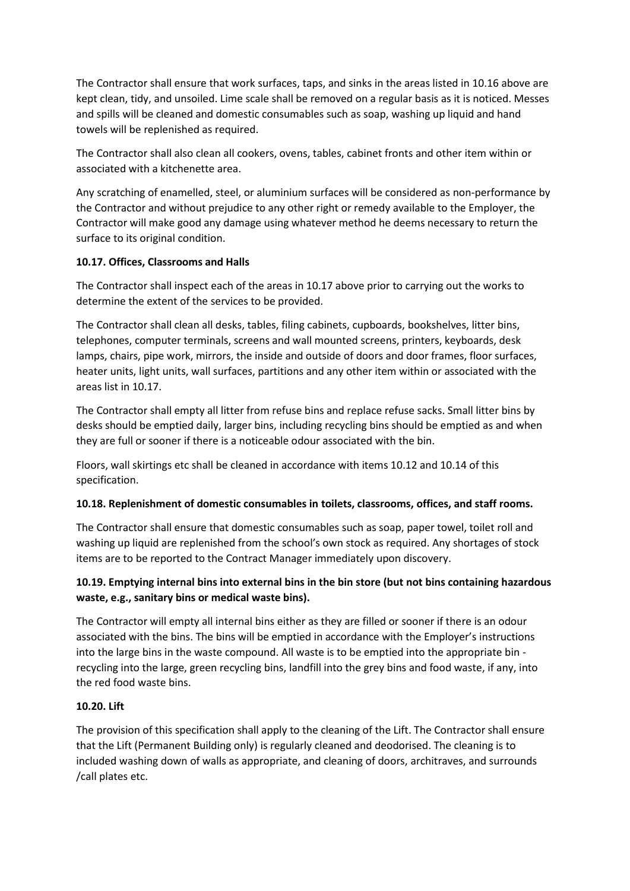The Contractor shall ensure that work surfaces, taps, and sinks in the areas listed in 10.16 above are kept clean, tidy, and unsoiled. Lime scale shall be removed on a regular basis as it is noticed. Messes and spills will be cleaned and domestic consumables such as soap, washing up liquid and hand towels will be replenished as required.

The Contractor shall also clean all cookers, ovens, tables, cabinet fronts and other item within or associated with a kitchenette area.

Any scratching of enamelled, steel, or aluminium surfaces will be considered as non-performance by the Contractor and without prejudice to any other right or remedy available to the Employer, the Contractor will make good any damage using whatever method he deems necessary to return the surface to its original condition.

## **10.17. Offices, Classrooms and Halls**

The Contractor shall inspect each of the areas in 10.17 above prior to carrying out the works to determine the extent of the services to be provided.

The Contractor shall clean all desks, tables, filing cabinets, cupboards, bookshelves, litter bins, telephones, computer terminals, screens and wall mounted screens, printers, keyboards, desk lamps, chairs, pipe work, mirrors, the inside and outside of doors and door frames, floor surfaces, heater units, light units, wall surfaces, partitions and any other item within or associated with the areas list in 10.17.

The Contractor shall empty all litter from refuse bins and replace refuse sacks. Small litter bins by desks should be emptied daily, larger bins, including recycling bins should be emptied as and when they are full or sooner if there is a noticeable odour associated with the bin.

Floors, wall skirtings etc shall be cleaned in accordance with items 10.12 and 10.14 of this specification.

## **10.18. Replenishment of domestic consumables in toilets, classrooms, offices, and staff rooms.**

The Contractor shall ensure that domestic consumables such as soap, paper towel, toilet roll and washing up liquid are replenished from the school's own stock as required. Any shortages of stock items are to be reported to the Contract Manager immediately upon discovery.

# **10.19. Emptying internal bins into external bins in the bin store (but not bins containing hazardous waste, e.g., sanitary bins or medical waste bins).**

The Contractor will empty all internal bins either as they are filled or sooner if there is an odour associated with the bins. The bins will be emptied in accordance with the Employer's instructions into the large bins in the waste compound. All waste is to be emptied into the appropriate bin recycling into the large, green recycling bins, landfill into the grey bins and food waste, if any, into the red food waste bins.

#### **10.20. Lift**

The provision of this specification shall apply to the cleaning of the Lift. The Contractor shall ensure that the Lift (Permanent Building only) is regularly cleaned and deodorised. The cleaning is to included washing down of walls as appropriate, and cleaning of doors, architraves, and surrounds /call plates etc.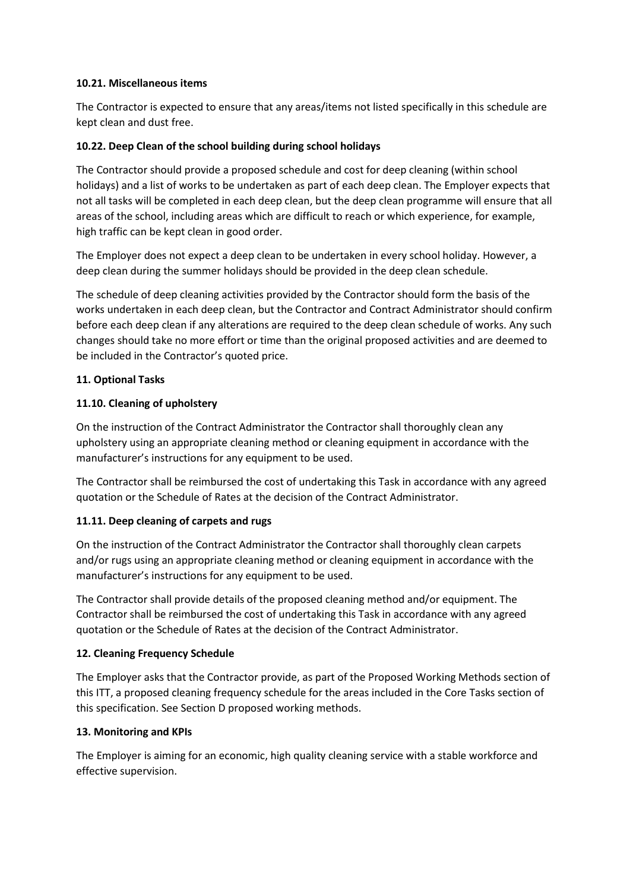#### **10.21. Miscellaneous items**

The Contractor is expected to ensure that any areas/items not listed specifically in this schedule are kept clean and dust free.

## **10.22. Deep Clean of the school building during school holidays**

The Contractor should provide a proposed schedule and cost for deep cleaning (within school holidays) and a list of works to be undertaken as part of each deep clean. The Employer expects that not all tasks will be completed in each deep clean, but the deep clean programme will ensure that all areas of the school, including areas which are difficult to reach or which experience, for example, high traffic can be kept clean in good order.

The Employer does not expect a deep clean to be undertaken in every school holiday. However, a deep clean during the summer holidays should be provided in the deep clean schedule.

The schedule of deep cleaning activities provided by the Contractor should form the basis of the works undertaken in each deep clean, but the Contractor and Contract Administrator should confirm before each deep clean if any alterations are required to the deep clean schedule of works. Any such changes should take no more effort or time than the original proposed activities and are deemed to be included in the Contractor's quoted price.

## **11. Optional Tasks**

# **11.10. Cleaning of upholstery**

On the instruction of the Contract Administrator the Contractor shall thoroughly clean any upholstery using an appropriate cleaning method or cleaning equipment in accordance with the manufacturer's instructions for any equipment to be used.

The Contractor shall be reimbursed the cost of undertaking this Task in accordance with any agreed quotation or the Schedule of Rates at the decision of the Contract Administrator.

## **11.11. Deep cleaning of carpets and rugs**

On the instruction of the Contract Administrator the Contractor shall thoroughly clean carpets and/or rugs using an appropriate cleaning method or cleaning equipment in accordance with the manufacturer's instructions for any equipment to be used.

The Contractor shall provide details of the proposed cleaning method and/or equipment. The Contractor shall be reimbursed the cost of undertaking this Task in accordance with any agreed quotation or the Schedule of Rates at the decision of the Contract Administrator.

## **12. Cleaning Frequency Schedule**

The Employer asks that the Contractor provide, as part of the Proposed Working Methods section of this ITT, a proposed cleaning frequency schedule for the areas included in the Core Tasks section of this specification. See Section D proposed working methods.

## **13. Monitoring and KPIs**

The Employer is aiming for an economic, high quality cleaning service with a stable workforce and effective supervision.